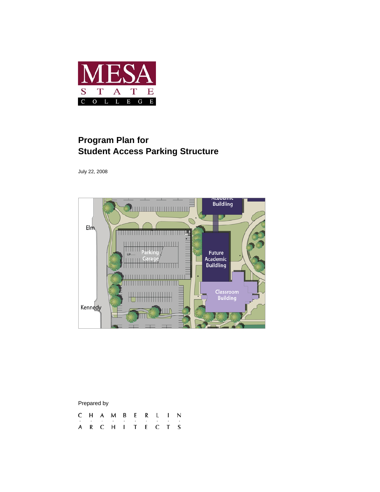

# **Program Plan for Student Access Parking Structure**

July 22, 2008



| Prepared by |  |  |                   |   |      |   |  |   |    |  |
|-------------|--|--|-------------------|---|------|---|--|---|----|--|
|             |  |  | C H A M B         |   | ER L |   |  |   | N. |  |
|             |  |  | ٠                 | ٠ | ٠    | ٠ |  | ٠ | ٠  |  |
|             |  |  | A R C H I T E C T |   |      |   |  |   |    |  |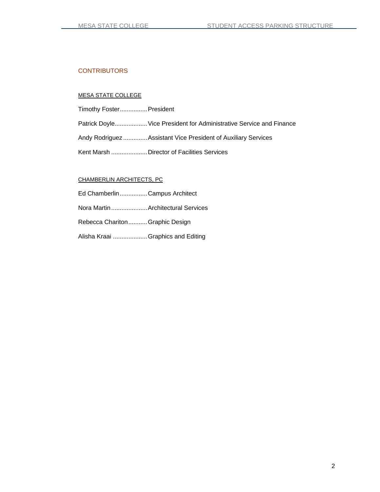#### **CONTRIBUTORS**

#### MESA STATE COLLEGE

Timothy Foster ................ President

Patrick Doyle................... Vice President for Administrative Service and Finance

Andy Rodriguez .............. Assistant Vice President of Auxiliary Services

Kent Marsh ..................... Director of Facilities Services

#### CHAMBERLIN ARCHITECTS, PC

| Ed ChamberlinCampus Architect       |  |
|-------------------------------------|--|
| Nora Martin  Architectural Services |  |
| Rebecca CharitonGraphic Design      |  |
| Alisha Kraai  Graphics and Editing  |  |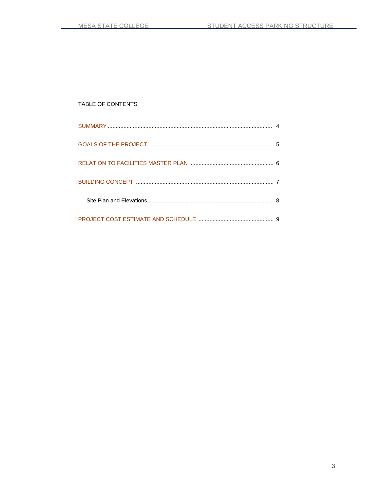# TABLE OF CONTENTS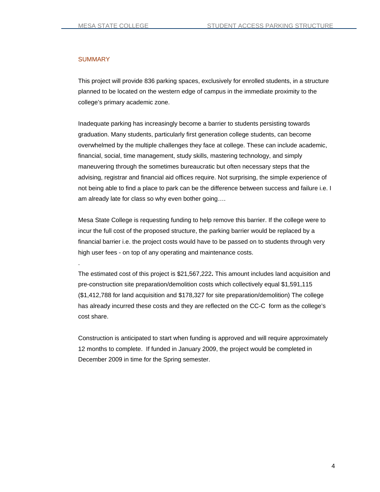#### **SUMMARY**

.

This project will provide 836 parking spaces, exclusively for enrolled students, in a structure planned to be located on the western edge of campus in the immediate proximity to the college's primary academic zone.

Inadequate parking has increasingly become a barrier to students persisting towards graduation. Many students, particularly first generation college students, can become overwhelmed by the multiple challenges they face at college. These can include academic, financial, social, time management, study skills, mastering technology, and simply maneuvering through the sometimes bureaucratic but often necessary steps that the advising, registrar and financial aid offices require. Not surprising, the simple experience of not being able to find a place to park can be the difference between success and failure i.e. I am already late for class so why even bother going….

Mesa State College is requesting funding to help remove this barrier. If the college were to incur the full cost of the proposed structure, the parking barrier would be replaced by a financial barrier i.e. the project costs would have to be passed on to students through very high user fees - on top of any operating and maintenance costs.

The estimated cost of this project is \$21,567,222**.** This amount includes land acquisition and pre-construction site preparation/demolition costs which collectively equal \$1,591,115 (\$1,412,788 for land acquisition and \$178,327 for site preparation/demolition) The college has already incurred these costs and they are reflected on the CC-C form as the college's cost share.

Construction is anticipated to start when funding is approved and will require approximately 12 months to complete. If funded in January 2009, the project would be completed in December 2009 in time for the Spring semester.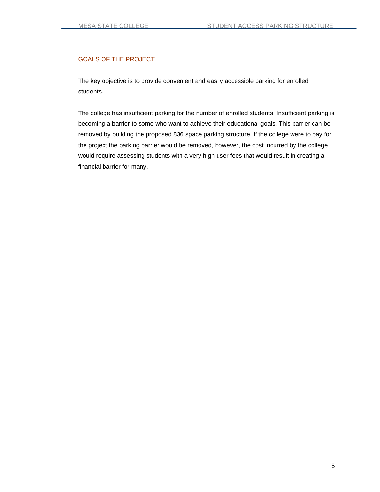#### GOALS OF THE PROJECT

The key objective is to provide convenient and easily accessible parking for enrolled students.

The college has insufficient parking for the number of enrolled students. Insufficient parking is becoming a barrier to some who want to achieve their educational goals. This barrier can be removed by building the proposed 836 space parking structure. If the college were to pay for the project the parking barrier would be removed, however, the cost incurred by the college would require assessing students with a very high user fees that would result in creating a financial barrier for many.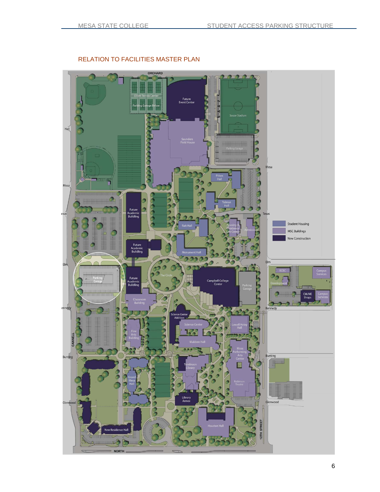

### RELATION TO FACILITIES MASTER PLAN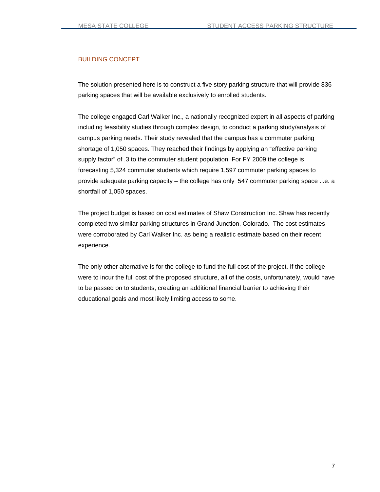#### BUILDING CONCEPT

The solution presented here is to construct a five story parking structure that will provide 836 parking spaces that will be available exclusively to enrolled students.

The college engaged Carl Walker Inc., a nationally recognized expert in all aspects of parking including feasibility studies through complex design, to conduct a parking study/analysis of campus parking needs. Their study revealed that the campus has a commuter parking shortage of 1,050 spaces. They reached their findings by applying an "effective parking supply factor" of .3 to the commuter student population. For FY 2009 the college is forecasting 5,324 commuter students which require 1,597 commuter parking spaces to provide adequate parking capacity – the college has only 547 commuter parking space .i.e. a shortfall of 1,050 spaces.

The project budget is based on cost estimates of Shaw Construction Inc. Shaw has recently completed two similar parking structures in Grand Junction, Colorado. The cost estimates were corroborated by Carl Walker Inc. as being a realistic estimate based on their recent experience.

The only other alternative is for the college to fund the full cost of the project. If the college were to incur the full cost of the proposed structure, all of the costs, unfortunately, would have to be passed on to students, creating an additional financial barrier to achieving their educational goals and most likely limiting access to some.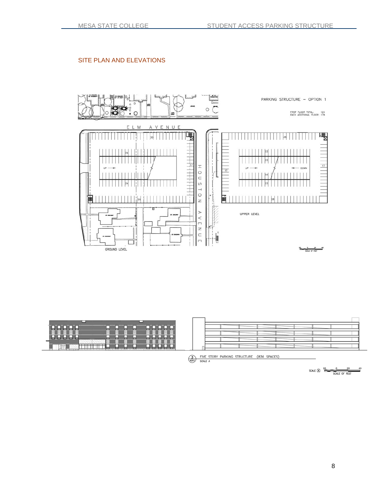# SITE PLAN AND ELEVATIONS



| --                                                  | --   | ⊷<br>---    | ╌       | −<br>-      |               | $-0.001$ | $\sim$                      | −<br>--                  |
|-----------------------------------------------------|------|-------------|---------|-------------|---------------|----------|-----------------------------|--------------------------|
| ਜ਼ਰ<br>佃<br>---<br>--<br>- 31<br>ᅲ<br>œ<br><br><br> |      | <br>.<br>-- | --<br>╌ | ٠<br>œ<br>۰ | m<br>$\cdots$ |          | ⊞<br>-64<br>×n.<br>---<br>⋍ |                          |
| ÷                                                   |      | Ξ           | -       | ٠           | 23            | --       | π<br>$\sim$                 | $\overline{\phantom{a}}$ |
|                                                     |      |             |         |             | ⊷             |          | ÷<br>-<br>. .               |                          |
|                                                     | eter |             |         |             |               |          |                             |                          |

SUPER TORY PARKING STRUCTURE (836 SPACES)

SCALE  $\overline{a}$   $\overline{a}$   $\overline{a}$   $\overline{a}$   $\overline{a}$   $\overline{a}$   $\overline{a}$   $\overline{a}$   $\overline{a}$   $\overline{a}$   $\overline{a}$   $\overline{a}$   $\overline{a}$   $\overline{a}$   $\overline{a}$   $\overline{a}$   $\overline{a}$   $\overline{a}$   $\overline{a}$   $\overline{a}$   $\overline{a}$   $\overline{a}$   $\overline{a}$   $\overline{a}$